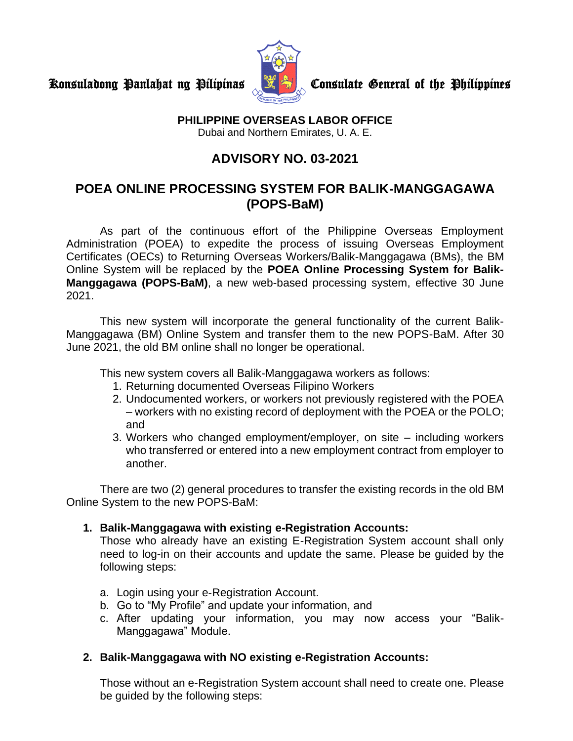

Konsuladong Panlahat ng Pilipinas **Capital Consulate General of the Philippines** 

**PHILIPPINE OVERSEAS LABOR OFFICE** Dubai and Northern Emirates, U. A. E.

## **ADVISORY NO. 03-2021**

## **POEA ONLINE PROCESSING SYSTEM FOR BALIK-MANGGAGAWA (POPS-BaM)**

As part of the continuous effort of the Philippine Overseas Employment Administration (POEA) to expedite the process of issuing Overseas Employment Certificates (OECs) to Returning Overseas Workers/Balik-Manggagawa (BMs), the BM Online System will be replaced by the **POEA Online Processing System for Balik-Manggagawa (POPS-BaM)**, a new web-based processing system, effective 30 June 2021.

This new system will incorporate the general functionality of the current Balik-Manggagawa (BM) Online System and transfer them to the new POPS-BaM. After 30 June 2021, the old BM online shall no longer be operational.

This new system covers all Balik-Manggagawa workers as follows:

- 1. Returning documented Overseas Filipino Workers
- 2. Undocumented workers, or workers not previously registered with the POEA – workers with no existing record of deployment with the POEA or the POLO; and
- 3. Workers who changed employment/employer, on site including workers who transferred or entered into a new employment contract from employer to another.

There are two (2) general procedures to transfer the existing records in the old BM Online System to the new POPS-BaM:

## **1. Balik-Manggagawa with existing e-Registration Accounts:**

Those who already have an existing E-Registration System account shall only need to log-in on their accounts and update the same. Please be guided by the following steps:

- a. Login using your e-Registration Account.
- b. Go to "My Profile" and update your information, and
- c. After updating your information, you may now access your "Balik-Manggagawa" Module.

## **2. Balik-Manggagawa with NO existing e-Registration Accounts:**

Those without an e-Registration System account shall need to create one. Please be guided by the following steps: